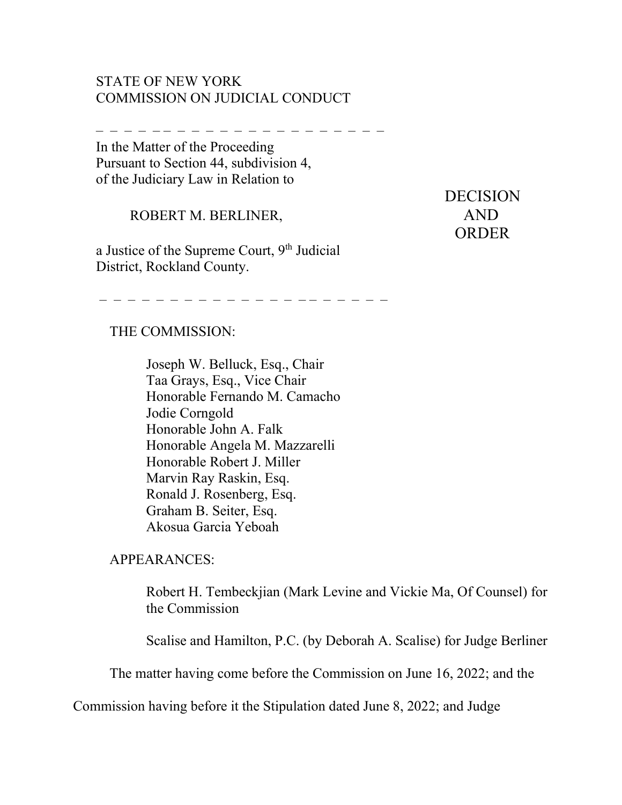## STATE OF NEW YORK COMMISSION ON JUDICIAL CONDUCT

– – – – – – – – – – – – – – – – – – – – –

In the Matter of the Proceeding Pursuant to Section 44, subdivision 4, of the Judiciary Law in Relation to

ROBERT M. BERLINER, AND

a Justice of the Supreme Court, 9<sup>th</sup> Judicial District, Rockland County.

 DECISION ORDER

## THE COMMISSION:

Joseph W. Belluck, Esq., Chair Taa Grays, Esq., Vice Chair Honorable Fernando M. Camacho Jodie Corngold Honorable John A. Falk Honorable Angela M. Mazzarelli Honorable Robert J. Miller Marvin Ray Raskin, Esq. Ronald J. Rosenberg, Esq. Graham B. Seiter, Esq. Akosua Garcia Yeboah

– – – – – – – – – – – – – – – – – – – – –

APPEARANCES:

Robert H. Tembeckjian (Mark Levine and Vickie Ma, Of Counsel) for the Commission

Scalise and Hamilton, P.C. (by Deborah A. Scalise) for Judge Berliner

The matter having come before the Commission on June 16, 2022; and the

Commission having before it the Stipulation dated June 8, 2022; and Judge